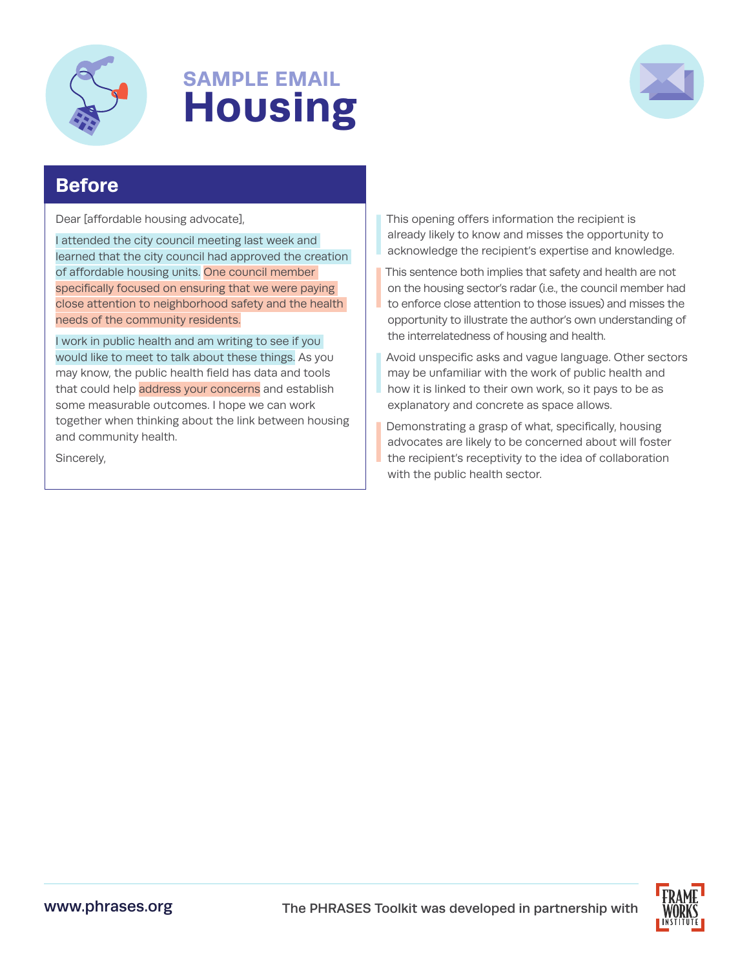

## **SAMPLE EMAIL Housing**



## **Before**

Dear [affordable housing advocate],

I attended the city council meeting last week and learned that the city council had approved the creation of affordable housing units. One council member specifically focused on ensuring that we were paying close attention to neighborhood safety and the health needs of the community residents.

I work in public health and am writing to see if you would like to meet to talk about these things. As you may know, the public health field has data and tools that could help address your concerns and establish some measurable outcomes. I hope we can work together when thinking about the link between housing and community health.

Sincerely,

This opening offers information the recipient is already likely to know and misses the opportunity to acknowledge the recipient's expertise and knowledge.

I I This sentence both implies that safety and health are not on the housing sector's radar (i.e., the council member had to enforce close attention to those issues) and misses the opportunity to illustrate the author's own understanding of the interrelatedness of housing and health.

Avoid unspecific asks and vague language. Other sectors may be unfamiliar with the work of public health and how it is linked to their own work, so it pays to be as explanatory and concrete as space allows.

I

I

Demonstrating a grasp of what, specifically, housing advocates are likely to be concerned about will foster the recipient's receptivity to the idea of collaboration with the public health sector.